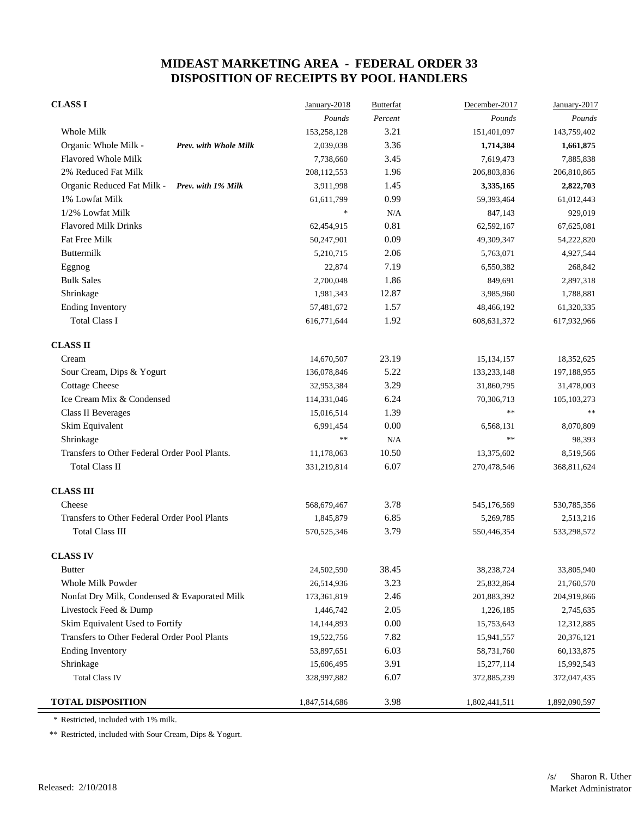| <b>CLASS I</b>                                   | January-2018  | <b>Butterfat</b> | December-2017 | January-2017  |
|--------------------------------------------------|---------------|------------------|---------------|---------------|
|                                                  | Pounds        | Percent          | Pounds        | Pounds        |
| Whole Milk                                       | 153,258,128   | 3.21             | 151,401,097   | 143,759,402   |
| Organic Whole Milk -<br>Prev. with Whole Milk    | 2,039,038     | 3.36             | 1,714,384     | 1,661,875     |
| <b>Flavored Whole Milk</b>                       | 7,738,660     | 3.45             | 7,619,473     | 7,885,838     |
| 2% Reduced Fat Milk                              | 208,112,553   | 1.96             | 206,803,836   | 206,810,865   |
| Organic Reduced Fat Milk -<br>Prev. with 1% Milk | 3,911,998     | 1.45             | 3,335,165     | 2,822,703     |
| 1% Lowfat Milk                                   | 61,611,799    | 0.99             | 59,393,464    | 61,012,443    |
| 1/2% Lowfat Milk                                 | $\ast$        | N/A              | 847,143       | 929,019       |
| <b>Flavored Milk Drinks</b>                      | 62,454,915    | 0.81             | 62,592,167    | 67,625,081    |
| Fat Free Milk                                    | 50,247,901    | 0.09             | 49,309,347    | 54,222,820    |
| Buttermilk                                       | 5,210,715     | 2.06             | 5,763,071     | 4,927,544     |
| Eggnog                                           | 22,874        | 7.19             | 6,550,382     | 268,842       |
| <b>Bulk Sales</b>                                | 2,700,048     | 1.86             | 849,691       | 2,897,318     |
| Shrinkage                                        | 1,981,343     | 12.87            | 3,985,960     | 1,788,881     |
| <b>Ending Inventory</b>                          | 57,481,672    | 1.57             | 48,466,192    | 61,320,335    |
| <b>Total Class I</b>                             | 616,771,644   | 1.92             | 608, 631, 372 | 617,932,966   |
| <b>CLASS II</b>                                  |               |                  |               |               |
| Cream                                            | 14,670,507    | 23.19            | 15,134,157    | 18,352,625    |
| Sour Cream, Dips & Yogurt                        | 136,078,846   | 5.22             | 133,233,148   | 197,188,955   |
| <b>Cottage Cheese</b>                            | 32,953,384    | 3.29             | 31,860,795    | 31,478,003    |
| Ice Cream Mix & Condensed                        | 114,331,046   | 6.24             | 70,306,713    | 105, 103, 273 |
| <b>Class II Beverages</b>                        | 15,016,514    | 1.39             | $\ast$        |               |
| Skim Equivalent                                  | 6,991,454     | 0.00             | 6,568,131     | 8,070,809     |
| Shrinkage                                        | $**$          | N/A              | $\ast\ast$    | 98,393        |
| Transfers to Other Federal Order Pool Plants.    | 11,178,063    | 10.50            | 13,375,602    | 8,519,566     |
| <b>Total Class II</b>                            | 331,219,814   | 6.07             | 270,478,546   | 368,811,624   |
| <b>CLASS III</b>                                 |               |                  |               |               |
| Cheese                                           | 568,679,467   | 3.78             | 545,176,569   | 530,785,356   |
| Transfers to Other Federal Order Pool Plants     | 1,845,879     | 6.85             | 5,269,785     | 2,513,216     |
| <b>Total Class III</b>                           | 570,525,346   | 3.79             | 550,446,354   | 533,298,572   |
| <b>CLASS IV</b>                                  |               |                  |               |               |
| <b>Butter</b>                                    | 24,502,590    | 38.45            | 38,238,724    | 33,805,940    |
| Whole Milk Powder                                | 26,514,936    | 3.23             | 25,832,864    | 21,760,570    |
| Nonfat Dry Milk, Condensed & Evaporated Milk     | 173,361,819   | 2.46             | 201,883,392   | 204,919,866   |
| Livestock Feed & Dump                            | 1,446,742     | 2.05             | 1,226,185     | 2,745,635     |
| Skim Equivalent Used to Fortify                  | 14,144,893    | 0.00             | 15,753,643    | 12,312,885    |
| Transfers to Other Federal Order Pool Plants     | 19,522,756    | 7.82             | 15,941,557    | 20,376,121    |
| <b>Ending Inventory</b>                          | 53,897,651    | 6.03             | 58,731,760    | 60,133,875    |
| Shrinkage                                        | 15,606,495    | 3.91             | 15,277,114    | 15,992,543    |
| <b>Total Class IV</b>                            | 328,997,882   | 6.07             | 372,885,239   | 372,047,435   |
| <b>TOTAL DISPOSITION</b>                         | 1,847,514,686 | 3.98             | 1,802,441,511 | 1,892,090,597 |

\* Restricted, included with 1% milk.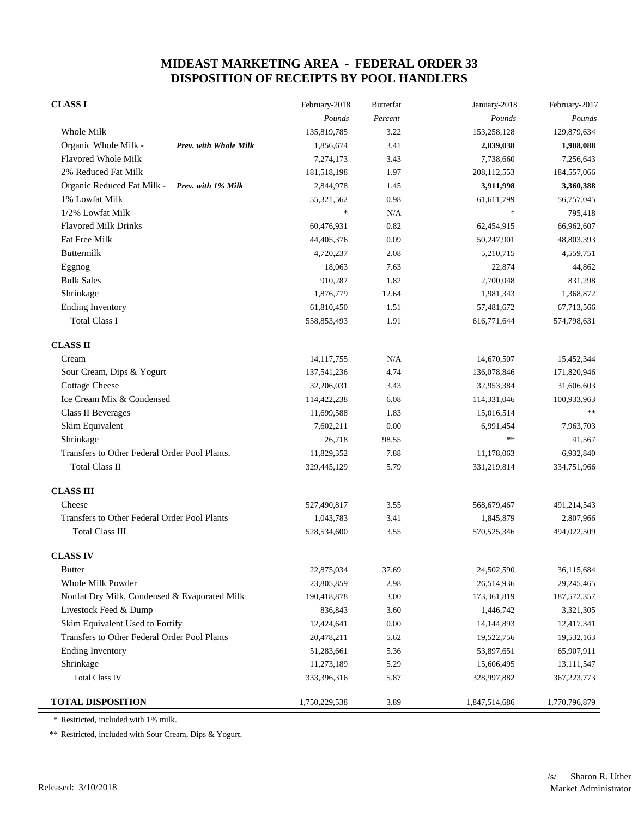| <b>CLASS I</b>                                   | February-2018 | <b>Butterfat</b> | January-2018  | February-2017 |
|--------------------------------------------------|---------------|------------------|---------------|---------------|
|                                                  | Pounds        | Percent          | Pounds        | Pounds        |
| Whole Milk                                       | 135,819,785   | 3.22             | 153,258,128   | 129,879,634   |
| Organic Whole Milk -<br>Prev. with Whole Milk    | 1,856,674     | 3.41             | 2,039,038     | 1,908,088     |
| Flavored Whole Milk                              | 7,274,173     | 3.43             | 7,738,660     | 7,256,643     |
| 2% Reduced Fat Milk                              | 181,518,198   | 1.97             | 208,112,553   | 184,557,066   |
| Organic Reduced Fat Milk -<br>Prev. with 1% Milk | 2,844,978     | 1.45             | 3,911,998     | 3,360,388     |
| 1% Lowfat Milk                                   | 55,321,562    | 0.98             | 61,611,799    | 56,757,045    |
| 1/2% Lowfat Milk                                 | $\ast$        | N/A              | $\ast$        | 795,418       |
| <b>Flavored Milk Drinks</b>                      | 60,476,931    | 0.82             | 62,454,915    | 66,962,607    |
| Fat Free Milk                                    | 44,405,376    | 0.09             | 50,247,901    | 48,803,393    |
| Buttermilk                                       | 4,720,237     | 2.08             | 5,210,715     | 4,559,751     |
| Eggnog                                           | 18,063        | 7.63             | 22,874        | 44,862        |
| <b>Bulk Sales</b>                                | 910,287       | 1.82             | 2,700,048     | 831,298       |
| Shrinkage                                        | 1,876,779     | 12.64            | 1,981,343     | 1,368,872     |
| <b>Ending Inventory</b>                          | 61,810,450    | 1.51             | 57,481,672    | 67,713,566    |
| <b>Total Class I</b>                             | 558,853,493   | 1.91             | 616,771,644   | 574,798,631   |
| <b>CLASS II</b>                                  |               |                  |               |               |
| Cream                                            | 14, 117, 755  | N/A              | 14,670,507    | 15,452,344    |
| Sour Cream, Dips & Yogurt                        | 137,541,236   | 4.74             | 136,078,846   | 171,820,946   |
| <b>Cottage Cheese</b>                            | 32,206,031    | 3.43             | 32,953,384    | 31,606,603    |
| Ice Cream Mix & Condensed                        | 114,422,238   | 6.08             | 114,331,046   | 100,933,963   |
| <b>Class II Beverages</b>                        | 11,699,588    | 1.83             | 15,016,514    |               |
| Skim Equivalent                                  | 7,602,211     | $0.00\,$         | 6,991,454     | 7,963,703     |
| Shrinkage                                        | 26,718        | 98.55            | $\ast\ast$    | 41,567        |
| Transfers to Other Federal Order Pool Plants.    | 11,829,352    | 7.88             | 11,178,063    | 6,932,840     |
| <b>Total Class II</b>                            | 329,445,129   | 5.79             | 331,219,814   | 334,751,966   |
| <b>CLASS III</b>                                 |               |                  |               |               |
| Cheese                                           | 527,490,817   | 3.55             | 568,679,467   | 491,214,543   |
| Transfers to Other Federal Order Pool Plants     | 1,043,783     | 3.41             | 1,845,879     | 2,807,966     |
| <b>Total Class III</b>                           | 528,534,600   | 3.55             | 570,525,346   | 494,022,509   |
| <b>CLASS IV</b>                                  |               |                  |               |               |
| <b>Butter</b>                                    | 22,875,034    | 37.69            | 24,502,590    | 36,115,684    |
| Whole Milk Powder                                | 23,805,859    | 2.98             | 26,514,936    | 29,245,465    |
| Nonfat Dry Milk, Condensed & Evaporated Milk     | 190,418,878   | 3.00             | 173,361,819   | 187, 572, 357 |
| Livestock Feed & Dump                            | 836,843       | 3.60             | 1,446,742     | 3,321,305     |
| Skim Equivalent Used to Fortify                  | 12,424,641    | $0.00\,$         | 14, 144, 893  | 12,417,341    |
| Transfers to Other Federal Order Pool Plants     | 20,478,211    | 5.62             | 19,522,756    | 19,532,163    |
| <b>Ending Inventory</b>                          | 51,283,661    | 5.36             | 53,897,651    | 65,907,911    |
| Shrinkage                                        | 11,273,189    | 5.29             | 15,606,495    | 13, 111, 547  |
| <b>Total Class IV</b>                            | 333,396,316   | 5.87             | 328,997,882   | 367, 223, 773 |
| <b>TOTAL DISPOSITION</b>                         | 1,750,229,538 | 3.89             | 1,847,514,686 | 1,770,796,879 |

\* Restricted, included with 1% milk.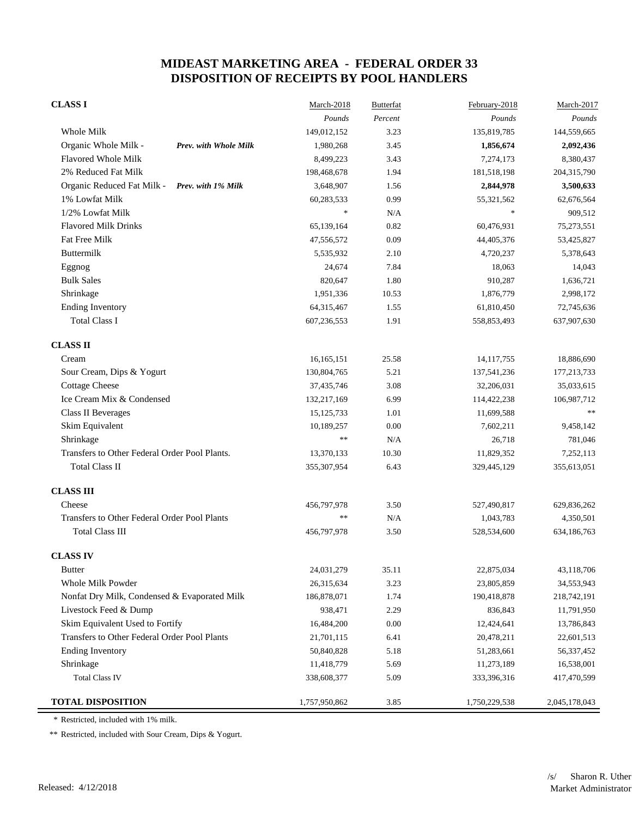| <b>CLASS I</b>                                | March-2018    | <b>Butterfat</b> | February-2018 | March-2017    |
|-----------------------------------------------|---------------|------------------|---------------|---------------|
|                                               | Pounds        | Percent          | Pounds        | Pounds        |
| Whole Milk                                    | 149,012,152   | 3.23             | 135,819,785   | 144,559,665   |
| Organic Whole Milk -<br>Prev. with Whole Milk | 1,980,268     | 3.45             | 1,856,674     | 2,092,436     |
| Flavored Whole Milk                           | 8,499,223     | 3.43             | 7,274,173     | 8,380,437     |
| 2% Reduced Fat Milk                           | 198,468,678   | 1.94             | 181,518,198   | 204,315,790   |
| Organic Reduced Fat Milk - Prev. with 1% Milk | 3,648,907     | 1.56             | 2,844,978     | 3,500,633     |
| 1% Lowfat Milk                                | 60,283,533    | 0.99             | 55,321,562    | 62,676,564    |
| 1/2% Lowfat Milk                              | $\ast$        | N/A              | $\ast$        | 909,512       |
| <b>Flavored Milk Drinks</b>                   | 65,139,164    | 0.82             | 60,476,931    | 75,273,551    |
| Fat Free Milk                                 | 47,556,572    | 0.09             | 44,405,376    | 53,425,827    |
| Buttermilk                                    | 5,535,932     | 2.10             | 4,720,237     | 5,378,643     |
| Eggnog                                        | 24,674        | 7.84             | 18,063        | 14,043        |
| <b>Bulk Sales</b>                             | 820,647       | 1.80             | 910,287       | 1,636,721     |
| Shrinkage                                     | 1,951,336     | 10.53            | 1,876,779     | 2,998,172     |
| <b>Ending Inventory</b>                       | 64,315,467    | 1.55             | 61,810,450    | 72,745,636    |
| <b>Total Class I</b>                          | 607,236,553   | 1.91             | 558,853,493   | 637,907,630   |
| <b>CLASS II</b>                               |               |                  |               |               |
| Cream                                         | 16,165,151    | 25.58            | 14, 117, 755  | 18,886,690    |
| Sour Cream, Dips & Yogurt                     | 130,804,765   | 5.21             | 137,541,236   | 177,213,733   |
| <b>Cottage Cheese</b>                         | 37,435,746    | 3.08             | 32,206,031    | 35,033,615    |
| Ice Cream Mix & Condensed                     | 132,217,169   | 6.99             | 114,422,238   | 106,987,712   |
| <b>Class II Beverages</b>                     | 15, 125, 733  | 1.01             | 11,699,588    |               |
| Skim Equivalent                               | 10,189,257    | $0.00\,$         | 7,602,211     | 9,458,142     |
| Shrinkage                                     | $\ast\ast$    | N/A              | 26,718        | 781,046       |
| Transfers to Other Federal Order Pool Plants. | 13,370,133    | 10.30            | 11,829,352    | 7,252,113     |
| <b>Total Class II</b>                         | 355,307,954   | 6.43             | 329,445,129   | 355,613,051   |
| <b>CLASS III</b>                              |               |                  |               |               |
| Cheese                                        | 456,797,978   | 3.50             | 527,490,817   | 629,836,262   |
| Transfers to Other Federal Order Pool Plants  | **            | N/A              | 1,043,783     | 4,350,501     |
| <b>Total Class III</b>                        | 456,797,978   | 3.50             | 528,534,600   | 634,186,763   |
| <b>CLASS IV</b>                               |               |                  |               |               |
| <b>Butter</b>                                 | 24,031,279    | 35.11            | 22,875,034    | 43,118,706    |
| Whole Milk Powder                             | 26,315,634    | 3.23             | 23,805,859    | 34,553,943    |
| Nonfat Dry Milk, Condensed & Evaporated Milk  | 186,878,071   | 1.74             | 190,418,878   | 218,742,191   |
| Livestock Feed & Dump                         | 938,471       | 2.29             | 836,843       | 11,791,950    |
| Skim Equivalent Used to Fortify               | 16,484,200    | 0.00             | 12,424,641    | 13,786,843    |
| Transfers to Other Federal Order Pool Plants  | 21,701,115    | 6.41             | 20,478,211    | 22,601,513    |
| <b>Ending Inventory</b>                       | 50,840,828    | 5.18             | 51,283,661    | 56, 337, 452  |
| Shrinkage                                     | 11,418,779    | 5.69             | 11,273,189    | 16,538,001    |
| <b>Total Class IV</b>                         | 338,608,377   | 5.09             | 333,396,316   | 417,470,599   |
| <b>TOTAL DISPOSITION</b>                      | 1,757,950,862 | 3.85             | 1,750,229,538 | 2,045,178,043 |

\* Restricted, included with 1% milk.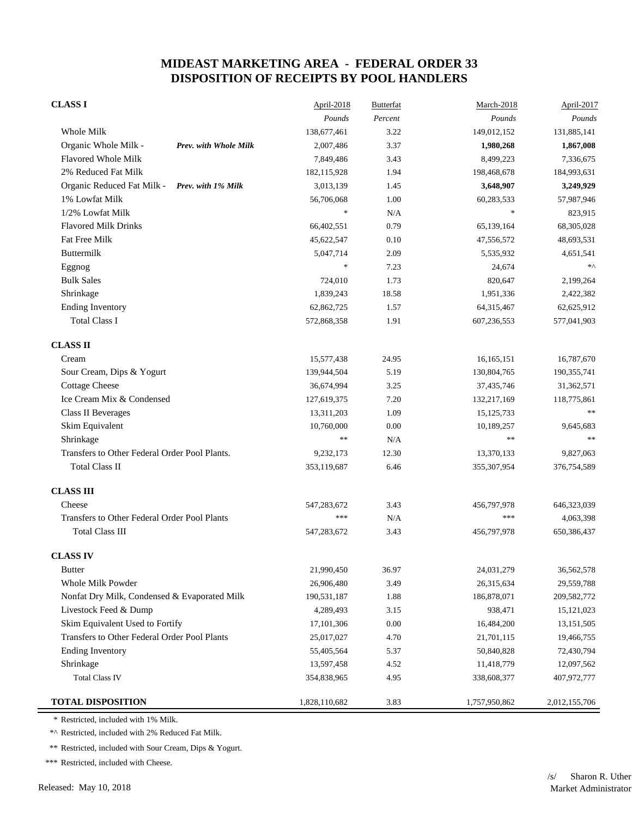| <b>CLASS I</b>                                   | April-2018    | <b>Butterfat</b> | March-2018    | April-2017    |
|--------------------------------------------------|---------------|------------------|---------------|---------------|
|                                                  | Pounds        | $Percent$        | Pounds        | Pounds        |
| Whole Milk                                       | 138,677,461   | 3.22             | 149,012,152   | 131,885,141   |
| Organic Whole Milk -<br>Prev. with Whole Milk    | 2,007,486     | 3.37             | 1,980,268     | 1,867,008     |
| Flavored Whole Milk                              | 7,849,486     | 3.43             | 8,499,223     | 7,336,675     |
| 2% Reduced Fat Milk                              | 182,115,928   | 1.94             | 198,468,678   | 184,993,631   |
| Organic Reduced Fat Milk -<br>Prev. with 1% Milk | 3,013,139     | 1.45             | 3,648,907     | 3,249,929     |
| 1% Lowfat Milk                                   | 56,706,068    | 1.00             | 60,283,533    | 57,987,946    |
| 1/2% Lowfat Milk                                 | $\ast$        | N/A              | $\ast$        | 823,915       |
| <b>Flavored Milk Drinks</b>                      | 66,402,551    | 0.79             | 65,139,164    | 68,305,028    |
| Fat Free Milk                                    | 45,622,547    | 0.10             | 47,556,572    | 48,693,531    |
| Buttermilk                                       | 5,047,714     | 2.09             | 5,535,932     | 4,651,541     |
| Eggnog                                           | $\ast$        | 7.23             | 24,674        | $*\wedge$     |
| <b>Bulk Sales</b>                                | 724,010       | 1.73             | 820,647       | 2,199,264     |
| Shrinkage                                        | 1,839,243     | 18.58            | 1,951,336     | 2,422,382     |
| <b>Ending Inventory</b>                          | 62,862,725    | 1.57             | 64,315,467    | 62,625,912    |
| <b>Total Class I</b>                             | 572,868,358   | 1.91             | 607,236,553   | 577,041,903   |
| <b>CLASS II</b>                                  |               |                  |               |               |
| Cream                                            | 15,577,438    | 24.95            | 16,165,151    | 16,787,670    |
| Sour Cream, Dips & Yogurt                        | 139,944,504   | 5.19             | 130,804,765   | 190,355,741   |
| <b>Cottage Cheese</b>                            | 36,674,994    | 3.25             | 37,435,746    | 31,362,571    |
| Ice Cream Mix & Condensed                        | 127,619,375   | 7.20             | 132,217,169   | 118,775,861   |
| <b>Class II Beverages</b>                        | 13,311,203    | 1.09             | 15, 125, 733  | **            |
| Skim Equivalent                                  | 10,760,000    | 0.00             | 10,189,257    | 9,645,683     |
| Shrinkage                                        | $**$          | N/A              | $\ast\ast$    | $\ast\ast$    |
| Transfers to Other Federal Order Pool Plants.    | 9,232,173     | 12.30            | 13,370,133    | 9,827,063     |
| <b>Total Class II</b>                            | 353,119,687   | 6.46             | 355, 307, 954 | 376,754,589   |
| <b>CLASS III</b>                                 |               |                  |               |               |
| Cheese                                           | 547,283,672   | 3.43             | 456,797,978   | 646,323,039   |
| Transfers to Other Federal Order Pool Plants     | ***           | N/A              | ***           | 4,063,398     |
| <b>Total Class III</b>                           | 547,283,672   | 3.43             | 456,797,978   | 650,386,437   |
| <b>CLASS IV</b>                                  |               |                  |               |               |
| <b>Butter</b>                                    | 21,990,450    | 36.97            | 24,031,279    | 36,562,578    |
| Whole Milk Powder                                | 26,906,480    | 3.49             | 26,315,634    | 29,559,788    |
| Nonfat Dry Milk, Condensed & Evaporated Milk     | 190,531,187   | 1.88             | 186,878,071   | 209,582,772   |
| Livestock Feed & Dump                            | 4,289,493     | 3.15             | 938,471       | 15, 121, 023  |
| Skim Equivalent Used to Fortify                  | 17,101,306    | 0.00             | 16,484,200    | 13, 151, 505  |
| Transfers to Other Federal Order Pool Plants     | 25,017,027    | 4.70             | 21,701,115    | 19,466,755    |
| <b>Ending Inventory</b>                          | 55,405,564    | 5.37             | 50,840,828    | 72,430,794    |
| Shrinkage                                        | 13,597,458    | 4.52             | 11,418,779    | 12,097,562    |
| <b>Total Class IV</b>                            | 354,838,965   | 4.95             | 338,608,377   | 407,972,777   |
| <b>TOTAL DISPOSITION</b>                         | 1,828,110,682 | 3.83             | 1,757,950,862 | 2,012,155,706 |

\* Restricted, included with 1% Milk.

\*^ Restricted, included with 2% Reduced Fat Milk.

\*\* Restricted, included with Sour Cream, Dips & Yogurt.

\*\*\* Restricted, included with Cheese.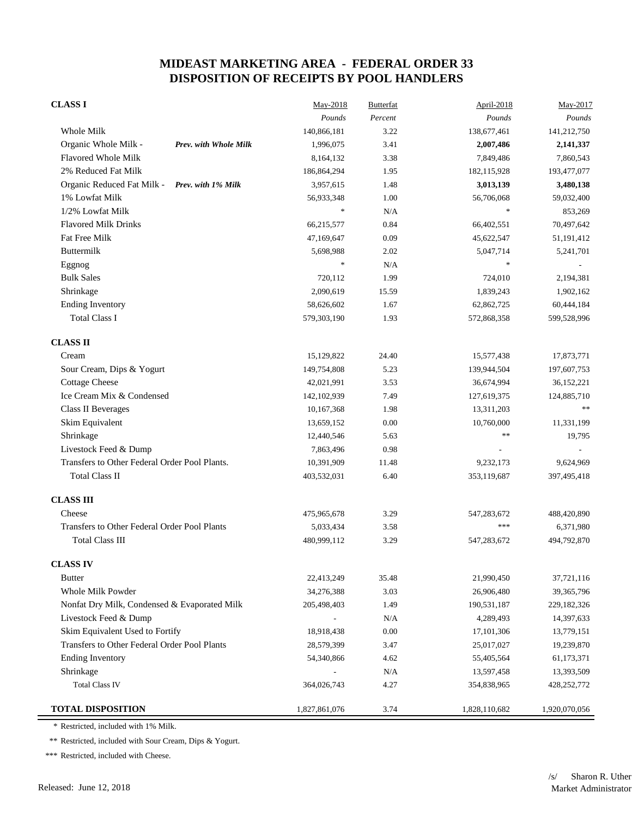| <b>CLASS I</b>                                   | May-2018      | <b>Butterfat</b> | <b>April-2018</b>                 | May-2017      |
|--------------------------------------------------|---------------|------------------|-----------------------------------|---------------|
|                                                  | Pounds        | Percent          | Pounds                            | Pounds        |
| Whole Milk                                       | 140,866,181   | 3.22             | 138,677,461                       | 141,212,750   |
| Organic Whole Milk -<br>Prev. with Whole Milk    | 1,996,075     | 3.41             | 2,007,486                         | 2,141,337     |
| <b>Flavored Whole Milk</b>                       | 8,164,132     | 3.38             | 7,849,486                         | 7,860,543     |
| 2% Reduced Fat Milk                              | 186,864,294   | 1.95             | 182,115,928                       | 193,477,077   |
| Organic Reduced Fat Milk -<br>Prev. with 1% Milk | 3,957,615     | 1.48             | 3,013,139                         | 3,480,138     |
| 1% Lowfat Milk                                   | 56,933,348    | 1.00             | 56,706,068                        | 59,032,400    |
| 1/2% Lowfat Milk                                 | $\ast$        | N/A              | $\frac{d\mathbf{x}}{d\mathbf{x}}$ | 853,269       |
| <b>Flavored Milk Drinks</b>                      | 66,215,577    | 0.84             | 66,402,551                        | 70,497,642    |
| Fat Free Milk                                    | 47,169,647    | 0.09             | 45,622,547                        | 51,191,412    |
| Buttermilk                                       | 5,698,988     | 2.02             | 5,047,714                         | 5,241,701     |
| Eggnog                                           | $\ast$        | N/A              | $\frac{d\mathbf{x}}{d\mathbf{x}}$ |               |
| <b>Bulk Sales</b>                                | 720,112       | 1.99             | 724,010                           | 2,194,381     |
| Shrinkage                                        | 2,090,619     | 15.59            | 1,839,243                         | 1,902,162     |
| <b>Ending Inventory</b>                          | 58,626,602    | 1.67             | 62,862,725                        | 60,444,184    |
| <b>Total Class I</b>                             | 579,303,190   | 1.93             | 572,868,358                       | 599,528,996   |
| <b>CLASS II</b>                                  |               |                  |                                   |               |
| Cream                                            | 15,129,822    | 24.40            | 15,577,438                        | 17,873,771    |
| Sour Cream, Dips & Yogurt                        | 149,754,808   | 5.23             | 139,944,504                       | 197,607,753   |
| <b>Cottage Cheese</b>                            | 42,021,991    | 3.53             | 36,674,994                        | 36,152,221    |
| Ice Cream Mix & Condensed                        | 142,102,939   | 7.49             | 127,619,375                       | 124,885,710   |
| Class II Beverages                               | 10,167,368    | 1.98             | 13,311,203                        | $\ast\ast$    |
| Skim Equivalent                                  | 13,659,152    | 0.00             | 10,760,000                        | 11,331,199    |
| Shrinkage                                        | 12,440,546    | 5.63             | $\ast$                            | 19,795        |
| Livestock Feed & Dump                            | 7,863,496     | 0.98             |                                   |               |
| Transfers to Other Federal Order Pool Plants.    | 10,391,909    | 11.48            | 9,232,173                         | 9,624,969     |
| <b>Total Class II</b>                            | 403,532,031   | 6.40             | 353,119,687                       | 397,495,418   |
| <b>CLASS III</b>                                 |               |                  |                                   |               |
| Cheese                                           | 475,965,678   | 3.29             | 547,283,672                       | 488,420,890   |
| Transfers to Other Federal Order Pool Plants     | 5,033,434     | 3.58             | ***                               | 6,371,980     |
| <b>Total Class III</b>                           | 480,999,112   | 3.29             | 547,283,672                       | 494,792,870   |
| <b>CLASS IV</b>                                  |               |                  |                                   |               |
| <b>Butter</b>                                    | 22,413,249    | 35.48            | 21,990,450                        | 37,721,116    |
| Whole Milk Powder                                | 34,276,388    | 3.03             | 26,906,480                        | 39, 365, 796  |
| Nonfat Dry Milk, Condensed & Evaporated Milk     | 205,498,403   | 1.49             | 190,531,187                       | 229, 182, 326 |
| Livestock Feed & Dump                            |               | N/A              | 4,289,493                         | 14,397,633    |
| Skim Equivalent Used to Fortify                  | 18,918,438    | 0.00             | 17,101,306                        | 13,779,151    |
| Transfers to Other Federal Order Pool Plants     | 28,579,399    | 3.47             | 25,017,027                        | 19,239,870    |
| <b>Ending Inventory</b>                          | 54,340,866    | 4.62             | 55,405,564                        | 61,173,371    |
| Shrinkage                                        |               | N/A              | 13,597,458                        | 13,393,509    |
| <b>Total Class IV</b>                            | 364,026,743   | 4.27             | 354,838,965                       | 428, 252, 772 |
| <b>TOTAL DISPOSITION</b>                         | 1,827,861,076 | 3.74             | 1,828,110,682                     | 1,920,070,056 |

\* Restricted, included with 1% Milk.

\*\* Restricted, included with Sour Cream, Dips & Yogurt.

\*\*\* Restricted, included with Cheese.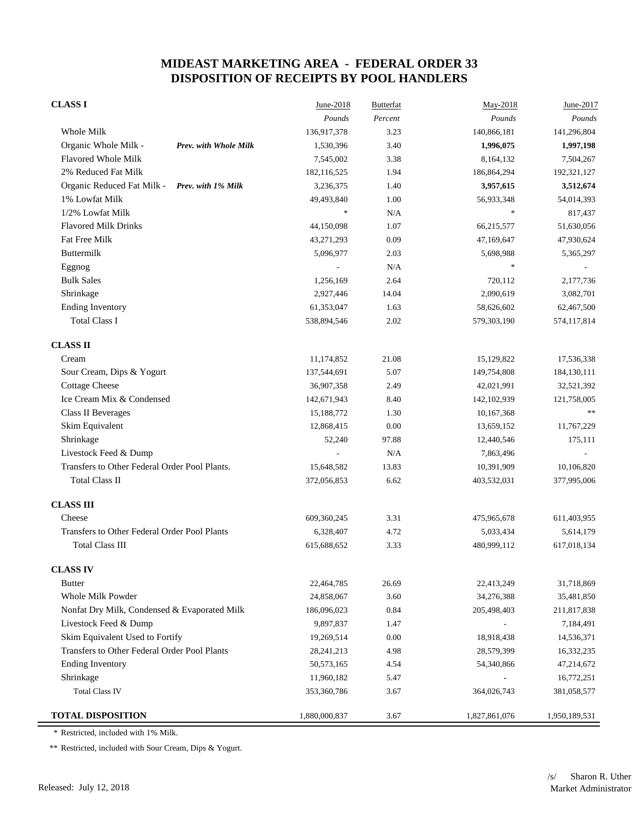| <b>CLASS I</b>                                   | June-2018     | <b>Butterfat</b> | May-2018      | June-2017     |
|--------------------------------------------------|---------------|------------------|---------------|---------------|
|                                                  | Pounds        | Percent          | Pounds        | Pounds        |
| Whole Milk                                       | 136,917,378   | 3.23             | 140,866,181   | 141,296,804   |
| Organic Whole Milk -<br>Prev. with Whole Milk    | 1,530,396     | 3.40             | 1,996,075     | 1,997,198     |
| Flavored Whole Milk                              | 7,545,002     | 3.38             | 8,164,132     | 7,504,267     |
| 2% Reduced Fat Milk                              | 182,116,525   | 1.94             | 186,864,294   | 192,321,127   |
| Organic Reduced Fat Milk -<br>Prev. with 1% Milk | 3,236,375     | 1.40             | 3,957,615     | 3,512,674     |
| 1% Lowfat Milk                                   | 49,493,840    | 1.00             | 56,933,348    | 54,014,393    |
| 1/2% Lowfat Milk                                 | $\ast$        | N/A              | $\ast$        | 817,437       |
| <b>Flavored Milk Drinks</b>                      | 44,150,098    | 1.07             | 66,215,577    | 51,630,056    |
| <b>Fat Free Milk</b>                             | 43,271,293    | 0.09             | 47,169,647    | 47,930,624    |
| <b>Buttermilk</b>                                | 5,096,977     | 2.03             | 5,698,988     | 5,365,297     |
| Eggnog                                           |               | N/A              | $\ast$        |               |
| <b>Bulk Sales</b>                                | 1,256,169     | 2.64             | 720,112       | 2,177,736     |
| Shrinkage                                        | 2,927,446     | 14.04            | 2,090,619     | 3,082,701     |
| <b>Ending Inventory</b>                          | 61,353,047    | 1.63             | 58,626,602    | 62,467,500    |
| <b>Total Class I</b>                             | 538,894,546   | 2.02             | 579,303,190   | 574,117,814   |
| <b>CLASS II</b>                                  |               |                  |               |               |
| Cream                                            | 11,174,852    | 21.08            | 15,129,822    | 17,536,338    |
| Sour Cream, Dips & Yogurt                        | 137,544,691   | 5.07             | 149,754,808   | 184,130,111   |
| <b>Cottage Cheese</b>                            | 36,907,358    | 2.49             | 42,021,991    | 32,521,392    |
| Ice Cream Mix & Condensed                        | 142,671,943   | 8.40             | 142, 102, 939 | 121,758,005   |
| <b>Class II Beverages</b>                        | 15,188,772    | 1.30             | 10,167,368    | **            |
| Skim Equivalent                                  | 12,868,415    | $0.00\,$         | 13,659,152    | 11,767,229    |
| Shrinkage                                        | 52,240        | 97.88            | 12,440,546    | 175,111       |
| Livestock Feed & Dump                            |               | N/A              | 7,863,496     |               |
| Transfers to Other Federal Order Pool Plants.    | 15,648,582    | 13.83            | 10,391,909    | 10,106,820    |
| <b>Total Class II</b>                            | 372,056,853   | 6.62             | 403,532,031   | 377,995,006   |
| <b>CLASS III</b>                                 |               |                  |               |               |
| Cheese                                           | 609,360,245   | 3.31             | 475,965,678   | 611,403,955   |
| Transfers to Other Federal Order Pool Plants     | 6,328,407     | 4.72             | 5,033,434     | 5,614,179     |
| <b>Total Class III</b>                           | 615,688,652   | 3.33             | 480,999,112   | 617,018,134   |
| <b>CLASS IV</b>                                  |               |                  |               |               |
| <b>Butter</b>                                    | 22,464,785    | 26.69            | 22,413,249    | 31,718,869    |
| Whole Milk Powder                                | 24,858,067    | 3.60             | 34,276,388    | 35,481,850    |
| Nonfat Dry Milk, Condensed & Evaporated Milk     | 186,096,023   | 0.84             | 205,498,403   | 211,817,838   |
| Livestock Feed & Dump                            | 9,897,837     | 1.47             |               | 7,184,491     |
| Skim Equivalent Used to Fortify                  | 19,269,514    | 0.00             | 18,918,438    | 14,536,371    |
| Transfers to Other Federal Order Pool Plants     | 28, 241, 213  | 4.98             | 28,579,399    | 16,332,235    |
| <b>Ending Inventory</b>                          | 50, 573, 165  | 4.54             | 54,340,866    | 47,214,672    |
| Shrinkage                                        | 11,960,182    | 5.47             |               | 16,772,251    |
| <b>Total Class IV</b>                            | 353,360,786   | 3.67             | 364,026,743   | 381,058,577   |
| <b>TOTAL DISPOSITION</b>                         | 1,880,000,837 | 3.67             | 1,827,861,076 | 1,950,189,531 |

\* Restricted, included with 1% Milk.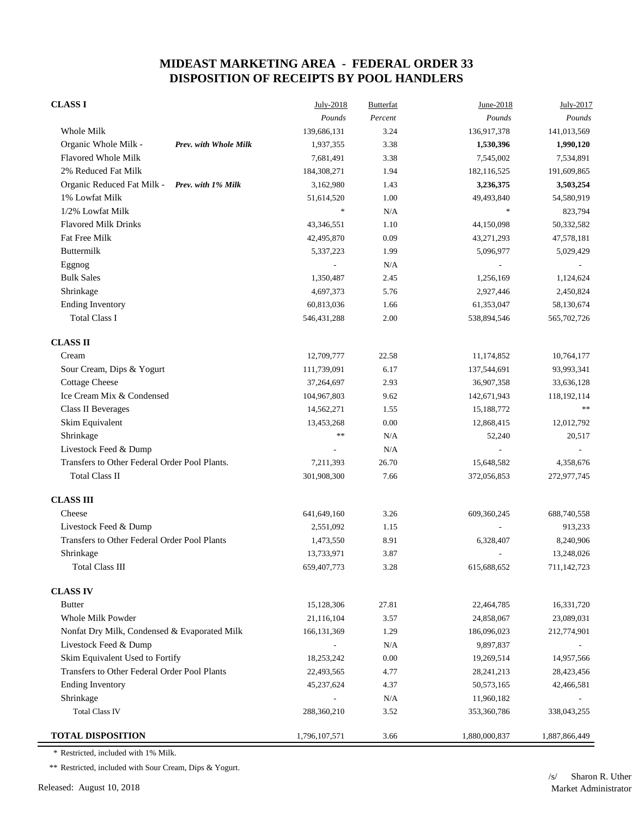| <b>CLASS I</b>                                | July-2018     | <b>Butterfat</b> | June-2018      | July-2017     |
|-----------------------------------------------|---------------|------------------|----------------|---------------|
|                                               | Pounds        | Percent          | Pounds         | Pounds        |
| Whole Milk                                    | 139,686,131   | 3.24             | 136,917,378    | 141,013,569   |
| Organic Whole Milk -<br>Prev. with Whole Milk | 1,937,355     | 3.38             | 1,530,396      | 1,990,120     |
| <b>Flavored Whole Milk</b>                    | 7,681,491     | 3.38             | 7,545,002      | 7,534,891     |
| 2% Reduced Fat Milk                           | 184,308,271   | 1.94             | 182,116,525    | 191,609,865   |
| Organic Reduced Fat Milk - Prev. with 1% Milk | 3,162,980     | 1.43             | 3,236,375      | 3,503,254     |
| 1% Lowfat Milk                                | 51,614,520    | 1.00             | 49,493,840     | 54,580,919    |
| 1/2% Lowfat Milk                              | $\ast$        | N/A              | $\frac{1}{2}$  | 823,794       |
| <b>Flavored Milk Drinks</b>                   | 43,346,551    | 1.10             | 44,150,098     | 50,332,582    |
| Fat Free Milk                                 | 42,495,870    | 0.09             | 43,271,293     | 47,578,181    |
| Buttermilk                                    | 5,337,223     | 1.99             | 5,096,977      | 5,029,429     |
| Eggnog                                        |               | N/A              | $\overline{a}$ |               |
| <b>Bulk Sales</b>                             | 1,350,487     | 2.45             | 1,256,169      | 1,124,624     |
| Shrinkage                                     | 4,697,373     | 5.76             | 2,927,446      | 2,450,824     |
| <b>Ending Inventory</b>                       | 60,813,036    | 1.66             | 61,353,047     | 58,130,674    |
| <b>Total Class I</b>                          | 546, 431, 288 | 2.00             | 538,894,546    | 565,702,726   |
| <b>CLASS II</b>                               |               |                  |                |               |
| Cream                                         | 12,709,777    | 22.58            | 11,174,852     | 10,764,177    |
| Sour Cream, Dips & Yogurt                     | 111,739,091   | 6.17             | 137,544,691    | 93,993,341    |
| <b>Cottage Cheese</b>                         | 37,264,697    | 2.93             | 36,907,358     | 33,636,128    |
| Ice Cream Mix & Condensed                     | 104,967,803   | 9.62             | 142,671,943    | 118,192,114   |
| <b>Class II Beverages</b>                     | 14,562,271    | 1.55             | 15,188,772     | **            |
| Skim Equivalent                               | 13,453,268    | 0.00             | 12,868,415     | 12,012,792    |
| Shrinkage                                     | **            | N/A              | 52,240         | 20,517        |
| Livestock Feed & Dump                         |               | N/A              |                |               |
| Transfers to Other Federal Order Pool Plants. | 7,211,393     | 26.70            | 15,648,582     | 4,358,676     |
| <b>Total Class II</b>                         | 301,908,300   | 7.66             | 372,056,853    | 272,977,745   |
| <b>CLASS III</b>                              |               |                  |                |               |
| Cheese                                        | 641,649,160   | 3.26             | 609,360,245    | 688,740,558   |
| Livestock Feed & Dump                         | 2,551,092     | 1.15             |                | 913,233       |
| Transfers to Other Federal Order Pool Plants  | 1,473,550     | 8.91             | 6,328,407      | 8,240,906     |
| Shrinkage                                     | 13,733,971    | 3.87             | $\overline{a}$ | 13,248,026    |
| <b>Total Class III</b>                        | 659,407,773   | 3.28             | 615,688,652    | 711,142,723   |
| <b>CLASS IV</b>                               |               |                  |                |               |
| <b>Butter</b>                                 | 15,128,306    | 27.81            | 22,464,785     | 16,331,720    |
| Whole Milk Powder                             | 21,116,104    | 3.57             | 24,858,067     | 23,089,031    |
| Nonfat Dry Milk, Condensed & Evaporated Milk  | 166, 131, 369 | 1.29             | 186,096,023    | 212,774,901   |
| Livestock Feed & Dump                         |               | N/A              | 9,897,837      |               |
| Skim Equivalent Used to Fortify               | 18,253,242    | 0.00             | 19,269,514     | 14,957,566    |
| Transfers to Other Federal Order Pool Plants  | 22,493,565    | 4.77             | 28, 241, 213   | 28,423,456    |
| <b>Ending Inventory</b>                       | 45,237,624    | 4.37             | 50,573,165     | 42,466,581    |
| Shrinkage                                     |               | N/A              | 11,960,182     |               |
| <b>Total Class IV</b>                         | 288,360,210   | 3.52             | 353,360,786    | 338,043,255   |
| <b>TOTAL DISPOSITION</b>                      | 1,796,107,571 | 3.66             | 1,880,000,837  | 1,887,866,449 |

\* Restricted, included with 1% Milk.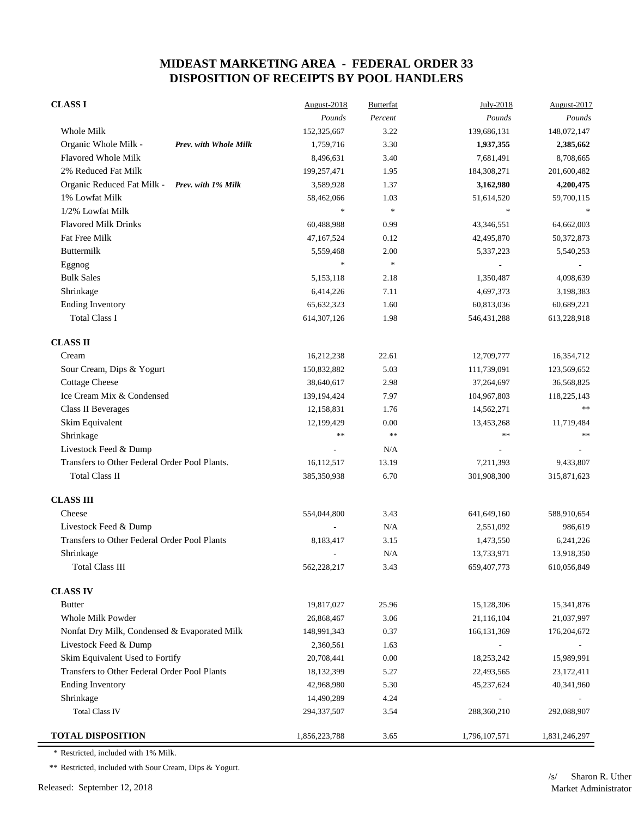| <b>CLASS I</b>                                   | August-2018              | <b>Butterfat</b> | July-2018     | August-2017   |
|--------------------------------------------------|--------------------------|------------------|---------------|---------------|
|                                                  | Pounds                   | Percent          | Pounds        | Pounds        |
| Whole Milk                                       | 152,325,667              | 3.22             | 139,686,131   | 148,072,147   |
| Organic Whole Milk -<br>Prev. with Whole Milk    | 1,759,716                | 3.30             | 1,937,355     | 2,385,662     |
| <b>Flavored Whole Milk</b>                       | 8,496,631                | 3.40             | 7,681,491     | 8,708,665     |
| 2% Reduced Fat Milk                              | 199,257,471              | 1.95             | 184,308,271   | 201,600,482   |
| Organic Reduced Fat Milk -<br>Prev. with 1% Milk | 3,589,928                | 1.37             | 3,162,980     | 4,200,475     |
| 1% Lowfat Milk                                   | 58,462,066               | 1.03             | 51,614,520    | 59,700,115    |
| 1/2% Lowfat Milk                                 | $\ast$                   | $\frac{1}{2}$    | $\frac{1}{2}$ |               |
| <b>Flavored Milk Drinks</b>                      | 60,488,988               | 0.99             | 43,346,551    | 64,662,003    |
| Fat Free Milk                                    | 47, 167, 524             | 0.12             | 42,495,870    | 50,372,873    |
| Buttermilk                                       | 5,559,468                | 2.00             | 5,337,223     | 5,540,253     |
| Eggnog                                           | $\ast$                   | $\pm$            |               |               |
| <b>Bulk Sales</b>                                | 5,153,118                | 2.18             | 1,350,487     | 4,098,639     |
| Shrinkage                                        | 6,414,226                | 7.11             | 4,697,373     | 3,198,383     |
| <b>Ending Inventory</b>                          | 65,632,323               | 1.60             | 60,813,036    | 60,689,221    |
| <b>Total Class I</b>                             | 614, 307, 126            | 1.98             | 546, 431, 288 | 613,228,918   |
| <b>CLASS II</b>                                  |                          |                  |               |               |
| Cream                                            | 16,212,238               | 22.61            | 12,709,777    | 16,354,712    |
| Sour Cream, Dips & Yogurt                        | 150,832,882              | 5.03             | 111,739,091   | 123,569,652   |
| <b>Cottage Cheese</b>                            | 38,640,617               | 2.98             | 37,264,697    | 36,568,825    |
| Ice Cream Mix & Condensed                        | 139,194,424              | 7.97             | 104,967,803   | 118,225,143   |
| <b>Class II Beverages</b>                        | 12,158,831               | 1.76             | 14,562,271    | $\ast\ast$    |
| Skim Equivalent                                  | 12,199,429               | 0.00             | 13,453,268    | 11,719,484    |
| Shrinkage                                        | **                       | $\ast$           | **            | **            |
| Livestock Feed & Dump                            |                          | N/A              |               |               |
| Transfers to Other Federal Order Pool Plants.    | 16,112,517               | 13.19            | 7,211,393     | 9,433,807     |
| <b>Total Class II</b>                            | 385,350,938              | 6.70             | 301,908,300   | 315,871,623   |
| <b>CLASS III</b>                                 |                          |                  |               |               |
| Cheese                                           | 554,044,800              | 3.43             | 641,649,160   | 588,910,654   |
| Livestock Feed & Dump                            |                          | N/A              | 2,551,092     | 986,619       |
| Transfers to Other Federal Order Pool Plants     | 8,183,417                | 3.15             | 1,473,550     | 6,241,226     |
| Shrinkage                                        | $\overline{\phantom{a}}$ | N/A              | 13,733,971    | 13,918,350    |
| <b>Total Class III</b>                           | 562,228,217              | 3.43             | 659,407,773   | 610,056,849   |
| <b>CLASS IV</b>                                  |                          |                  |               |               |
| <b>Butter</b>                                    | 19,817,027               | 25.96            | 15,128,306    | 15,341,876    |
| Whole Milk Powder                                | 26,868,467               | 3.06             | 21,116,104    | 21,037,997    |
| Nonfat Dry Milk, Condensed & Evaporated Milk     | 148,991,343              | 0.37             | 166, 131, 369 | 176, 204, 672 |
| Livestock Feed & Dump                            | 2,360,561                | 1.63             |               |               |
| Skim Equivalent Used to Fortify                  | 20,708,441               | 0.00             | 18,253,242    | 15,989,991    |
| Transfers to Other Federal Order Pool Plants     | 18,132,399               | 5.27             | 22,493,565    | 23, 172, 411  |
| <b>Ending Inventory</b>                          | 42,968,980               | 5.30             | 45,237,624    | 40,341,960    |
| Shrinkage                                        | 14,490,289               | 4.24             |               |               |
| <b>Total Class IV</b>                            | 294, 337, 507            | 3.54             | 288,360,210   | 292,088,907   |
| <b>TOTAL DISPOSITION</b>                         | 1,856,223,788            | 3.65             | 1,796,107,571 | 1,831,246,297 |

\* Restricted, included with 1% Milk.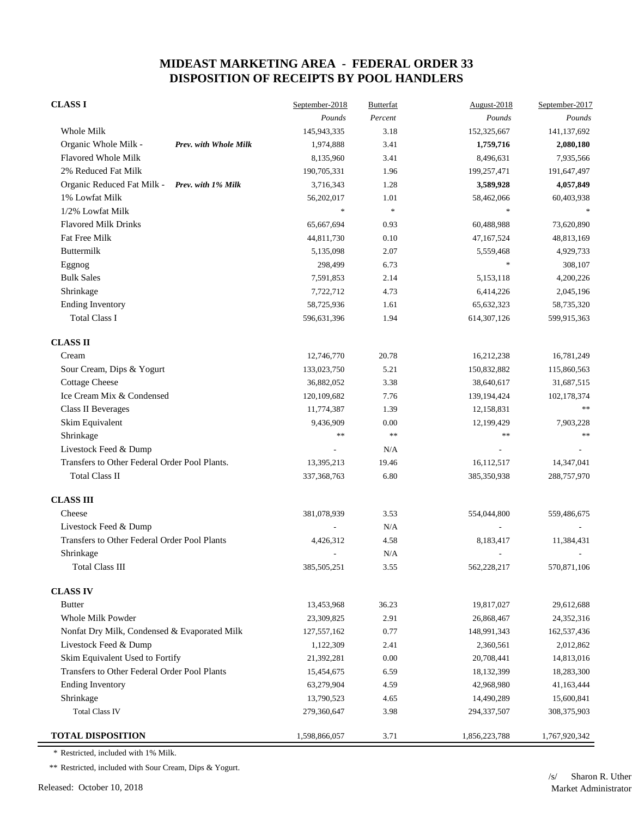| <b>CLASS I</b>                                   | September-2018           | <b>Butterfat</b> | August-2018              | September-2017 |
|--------------------------------------------------|--------------------------|------------------|--------------------------|----------------|
|                                                  | Pounds                   | Percent          | Pounds                   | Pounds         |
| Whole Milk                                       | 145,943,335              | 3.18             | 152,325,667              | 141,137,692    |
| Organic Whole Milk -<br>Prev. with Whole Milk    | 1,974,888                | 3.41             | 1,759,716                | 2,080,180      |
| <b>Flavored Whole Milk</b>                       | 8,135,960                | 3.41             | 8,496,631                | 7,935,566      |
| 2% Reduced Fat Milk                              | 190,705,331              | 1.96             | 199,257,471              | 191,647,497    |
| Organic Reduced Fat Milk -<br>Prev. with 1% Milk | 3,716,343                | 1.28             | 3,589,928                | 4,057,849      |
| 1% Lowfat Milk                                   | 56,202,017               | 1.01             | 58,462,066               | 60,403,938     |
| 1/2% Lowfat Milk                                 | $\ast$                   | $\frac{1}{2}$    | $\frac{1}{2}$            |                |
| <b>Flavored Milk Drinks</b>                      | 65,667,694               | 0.93             | 60,488,988               | 73,620,890     |
| Fat Free Milk                                    | 44,811,730               | 0.10             | 47,167,524               | 48,813,169     |
| <b>Buttermilk</b>                                | 5,135,098                | 2.07             | 5,559,468                | 4,929,733      |
| Eggnog                                           | 298,499                  | 6.73             | $\frac{1}{2}$            | 308,107        |
| <b>Bulk Sales</b>                                | 7,591,853                | 2.14             | 5,153,118                | 4,200,226      |
| Shrinkage                                        | 7,722,712                | 4.73             | 6,414,226                | 2,045,196      |
| <b>Ending Inventory</b>                          | 58,725,936               | 1.61             | 65, 632, 323             | 58,735,320     |
| <b>Total Class I</b>                             | 596,631,396              | 1.94             | 614, 307, 126            | 599,915,363    |
| <b>CLASS II</b>                                  |                          |                  |                          |                |
| Cream                                            | 12,746,770               | 20.78            | 16,212,238               | 16,781,249     |
| Sour Cream, Dips & Yogurt                        | 133,023,750              | 5.21             | 150,832,882              | 115,860,563    |
| <b>Cottage Cheese</b>                            | 36,882,052               | 3.38             | 38,640,617               | 31,687,515     |
| Ice Cream Mix & Condensed                        | 120,109,682              | 7.76             | 139,194,424              | 102,178,374    |
| Class II Beverages                               | 11,774,387               | 1.39             | 12,158,831               | **             |
| Skim Equivalent                                  | 9,436,909                | 0.00             | 12,199,429               | 7,903,228      |
| Shrinkage                                        | **                       | $\ast$           | **                       | **             |
| Livestock Feed & Dump                            |                          | N/A              |                          |                |
| Transfers to Other Federal Order Pool Plants.    | 13,395,213               | 19.46            | 16,112,517               | 14,347,041     |
| <b>Total Class II</b>                            | 337, 368, 763            | 6.80             | 385,350,938              | 288,757,970    |
| <b>CLASS III</b>                                 |                          |                  |                          |                |
| Cheese                                           | 381,078,939              | 3.53             | 554,044,800              | 559,486,675    |
| Livestock Feed & Dump                            |                          | N/A              |                          |                |
| Transfers to Other Federal Order Pool Plants     | 4,426,312                | 4.58             | 8,183,417                | 11,384,431     |
| Shrinkage                                        | $\overline{\phantom{a}}$ | N/A              | $\overline{\phantom{a}}$ |                |
| <b>Total Class III</b>                           | 385,505,251              | 3.55             | 562,228,217              | 570,871,106    |
| <b>CLASS IV</b>                                  |                          |                  |                          |                |
| <b>Butter</b>                                    | 13,453,968               | 36.23            | 19,817,027               | 29,612,688     |
| Whole Milk Powder                                | 23,309,825               | 2.91             | 26,868,467               | 24,352,316     |
| Nonfat Dry Milk, Condensed & Evaporated Milk     | 127, 557, 162            | 0.77             | 148,991,343              | 162,537,436    |
| Livestock Feed & Dump                            | 1,122,309                | 2.41             | 2,360,561                | 2,012,862      |
| Skim Equivalent Used to Fortify                  | 21,392,281               | 0.00             | 20,708,441               | 14,813,016     |
| Transfers to Other Federal Order Pool Plants     | 15,454,675               | 6.59             | 18,132,399               | 18,283,300     |
| <b>Ending Inventory</b>                          | 63,279,904               | 4.59             | 42,968,980               | 41,163,444     |
| Shrinkage                                        | 13,790,523               | 4.65             | 14,490,289               | 15,600,841     |
| <b>Total Class IV</b>                            | 279,360,647              | 3.98             | 294,337,507              | 308,375,903    |
| <b>TOTAL DISPOSITION</b>                         | 1,598,866,057            | 3.71             | 1,856,223,788            | 1,767,920,342  |

\* Restricted, included with 1% Milk.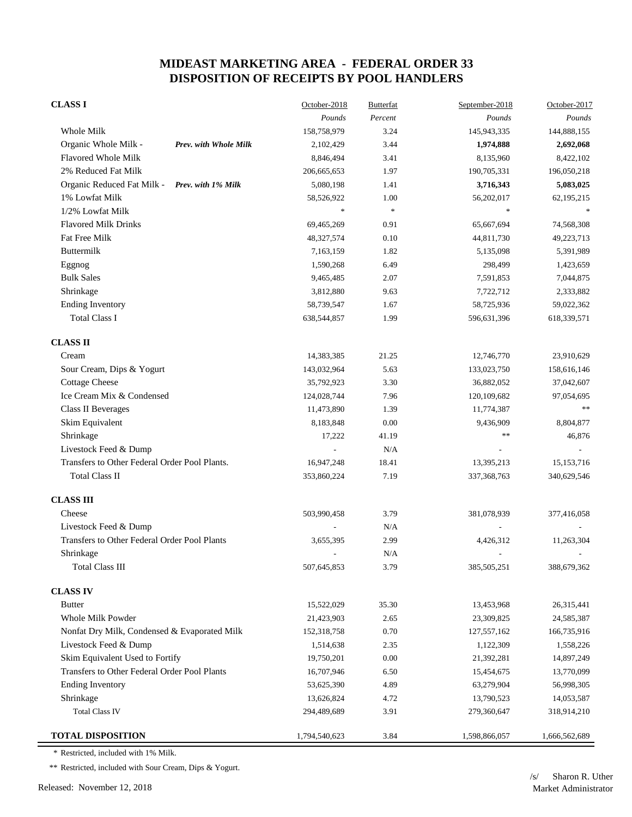| <b>CLASS I</b>                                   | October-2018             | <b>Butterfat</b>         | September-2018           | October-2017  |
|--------------------------------------------------|--------------------------|--------------------------|--------------------------|---------------|
|                                                  | Pounds                   | Percent                  | Pounds                   | Pounds        |
| Whole Milk                                       | 158,758,979              | 3.24                     | 145,943,335              | 144,888,155   |
| Organic Whole Milk -<br>Prev. with Whole Milk    | 2,102,429                | 3.44                     | 1,974,888                | 2,692,068     |
| <b>Flavored Whole Milk</b>                       | 8,846,494                | 3.41                     | 8,135,960                | 8,422,102     |
| 2% Reduced Fat Milk                              | 206, 665, 653            | 1.97                     | 190,705,331              | 196,050,218   |
| Organic Reduced Fat Milk -<br>Prev. with 1% Milk | 5,080,198                | 1.41                     | 3,716,343                | 5,083,025     |
| 1% Lowfat Milk                                   | 58,526,922               | 1.00                     | 56,202,017               | 62,195,215    |
| 1/2% Lowfat Milk                                 | $\ast$                   | $\frac{d\mathbf{r}}{dt}$ | $\frac{1}{2}$            |               |
| <b>Flavored Milk Drinks</b>                      | 69,465,269               | 0.91                     | 65,667,694               | 74,568,308    |
| Fat Free Milk                                    | 48,327,574               | 0.10                     | 44,811,730               | 49,223,713    |
| Buttermilk                                       | 7,163,159                | 1.82                     | 5,135,098                | 5,391,989     |
| Eggnog                                           | 1,590,268                | 6.49                     | 298,499                  | 1,423,659     |
| <b>Bulk Sales</b>                                | 9,465,485                | 2.07                     | 7,591,853                | 7,044,875     |
| Shrinkage                                        | 3,812,880                | 9.63                     | 7,722,712                | 2,333,882     |
| <b>Ending Inventory</b>                          | 58,739,547               | 1.67                     | 58,725,936               | 59,022,362    |
| <b>Total Class I</b>                             | 638,544,857              | 1.99                     | 596,631,396              | 618,339,571   |
| <b>CLASS II</b>                                  |                          |                          |                          |               |
| Cream                                            | 14,383,385               | 21.25                    | 12,746,770               | 23,910,629    |
| Sour Cream, Dips & Yogurt                        | 143,032,964              | 5.63                     | 133,023,750              | 158,616,146   |
| <b>Cottage Cheese</b>                            | 35,792,923               | 3.30                     | 36,882,052               | 37,042,607    |
| Ice Cream Mix & Condensed                        | 124,028,744              | 7.96                     | 120,109,682              | 97,054,695    |
| <b>Class II Beverages</b>                        | 11,473,890               | 1.39                     | 11,774,387               | 宗宗            |
| Skim Equivalent                                  | 8,183,848                | 0.00                     | 9,436,909                | 8,804,877     |
| Shrinkage                                        | 17,222                   | 41.19                    | **                       | 46,876        |
| Livestock Feed & Dump                            |                          | N/A                      |                          |               |
| Transfers to Other Federal Order Pool Plants.    | 16,947,248               | 18.41                    | 13,395,213               | 15, 153, 716  |
| <b>Total Class II</b>                            | 353,860,224              | 7.19                     | 337, 368, 763            | 340,629,546   |
| <b>CLASS III</b>                                 |                          |                          |                          |               |
| Cheese                                           | 503,990,458              | 3.79                     | 381,078,939              | 377,416,058   |
| Livestock Feed & Dump                            |                          | N/A                      |                          |               |
| Transfers to Other Federal Order Pool Plants     | 3,655,395                | 2.99                     | 4,426,312                | 11,263,304    |
| Shrinkage                                        | $\overline{\phantom{a}}$ | N/A                      | $\overline{\phantom{a}}$ |               |
| <b>Total Class III</b>                           | 507,645,853              | 3.79                     | 385,505,251              | 388,679,362   |
| <b>CLASS IV</b>                                  |                          |                          |                          |               |
| <b>Butter</b>                                    | 15,522,029               | 35.30                    | 13,453,968               | 26,315,441    |
| Whole Milk Powder                                | 21,423,903               | 2.65                     | 23,309,825               | 24,585,387    |
| Nonfat Dry Milk, Condensed & Evaporated Milk     | 152,318,758              | 0.70                     | 127,557,162              | 166,735,916   |
| Livestock Feed & Dump                            | 1,514,638                | 2.35                     | 1,122,309                | 1,558,226     |
| Skim Equivalent Used to Fortify                  | 19,750,201               | 0.00                     | 21,392,281               | 14,897,249    |
| Transfers to Other Federal Order Pool Plants     | 16,707,946               | 6.50                     | 15,454,675               | 13,770,099    |
| <b>Ending Inventory</b>                          | 53,625,390               | 4.89                     | 63,279,904               | 56,998,305    |
| Shrinkage                                        | 13,626,824               | 4.72                     | 13,790,523               | 14,053,587    |
| <b>Total Class IV</b>                            | 294,489,689              | 3.91                     | 279,360,647              | 318,914,210   |
| <b>TOTAL DISPOSITION</b>                         | 1,794,540,623            | 3.84                     | 1,598,866,057            | 1,666,562,689 |

\* Restricted, included with 1% Milk.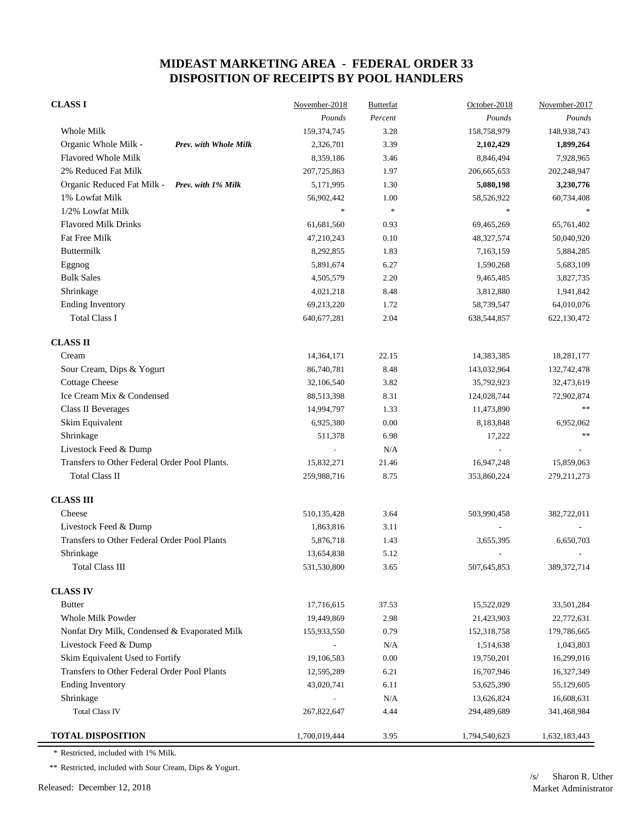| <b>CLASS I</b>                                   | November-2018 | <b>Butterfat</b> | October-2018  | November-2017 |
|--------------------------------------------------|---------------|------------------|---------------|---------------|
|                                                  | Pounds        | Percent          | Pounds        | Pounds        |
| Whole Milk                                       | 159, 374, 745 | 3.28             | 158,758,979   | 148,938,743   |
| Organic Whole Milk -<br>Prev. with Whole Milk    | 2,326,701     | 3.39             | 2,102,429     | 1,899,264     |
| <b>Flavored Whole Milk</b>                       | 8,359,186     | 3.46             | 8,846,494     | 7,928,965     |
| 2% Reduced Fat Milk                              | 207,725,863   | 1.97             | 206, 665, 653 | 202,248,947   |
| Organic Reduced Fat Milk -<br>Prev. with 1% Milk | 5,171,995     | 1.30             | 5,080,198     | 3,230,776     |
| 1% Lowfat Milk                                   | 56,902,442    | 1.00             | 58,526,922    | 60,734,408    |
| 1/2% Lowfat Milk                                 | $\ast$        | $\pm$            | $\frac{1}{2}$ |               |
| <b>Flavored Milk Drinks</b>                      | 61,681,560    | 0.93             | 69,465,269    | 65,761,402    |
| Fat Free Milk                                    | 47,210,243    | 0.10             | 48,327,574    | 50,040,920    |
| Buttermilk                                       | 8,292,855     | 1.83             | 7,163,159     | 5,884,285     |
| Eggnog                                           | 5,891,674     | 6.27             | 1,590,268     | 5,683,109     |
| <b>Bulk Sales</b>                                | 4,505,579     | 2.20             | 9,465,485     | 3,827,735     |
| Shrinkage                                        | 4,021,218     | 8.48             | 3,812,880     | 1,941,842     |
| <b>Ending Inventory</b>                          | 69,213,220    | 1.72             | 58,739,547    | 64,010,076    |
| <b>Total Class I</b>                             | 640, 677, 281 | 2.04             | 638,544,857   | 622,130,472   |
| <b>CLASS II</b>                                  |               |                  |               |               |
| Cream                                            | 14,364,171    | 22.15            | 14,383,385    | 18,281,177    |
| Sour Cream, Dips & Yogurt                        | 86,740,781    | 8.48             | 143,032,964   | 132,742,478   |
| <b>Cottage Cheese</b>                            | 32,106,540    | 3.82             | 35,792,923    | 32,473,619    |
| Ice Cream Mix & Condensed                        | 88,513,398    | 8.31             | 124,028,744   | 72,902,874    |
| <b>Class II Beverages</b>                        | 14,994,797    | 1.33             | 11,473,890    | **            |
| Skim Equivalent                                  | 6,925,380     | 0.00             | 8,183,848     | 6,952,062     |
| Shrinkage                                        | 511,378       | 6.98             | 17,222        | **            |
| Livestock Feed & Dump                            |               | N/A              |               |               |
| Transfers to Other Federal Order Pool Plants.    | 15,832,271    | 21.46            | 16,947,248    | 15,859,063    |
| <b>Total Class II</b>                            | 259,988,716   | 8.75             | 353,860,224   | 279, 211, 273 |
| <b>CLASS III</b>                                 |               |                  |               |               |
| Cheese                                           | 510,135,428   | 3.64             | 503,990,458   | 382,722,011   |
| Livestock Feed & Dump                            | 1,863,816     | 3.11             |               |               |
| Transfers to Other Federal Order Pool Plants     | 5,876,718     | 1.43             | 3,655,395     | 6,650,703     |
| Shrinkage                                        | 13,654,838    | 5.12             |               |               |
| <b>Total Class III</b>                           | 531,530,800   | 3.65             | 507,645,853   | 389, 372, 714 |
| <b>CLASS IV</b>                                  |               |                  |               |               |
| <b>Butter</b>                                    | 17,716,615    | 37.53            | 15,522,029    | 33,501,284    |
| Whole Milk Powder                                | 19,449,869    | 2.98             | 21,423,903    | 22,772,631    |
| Nonfat Dry Milk, Condensed & Evaporated Milk     | 155,933,550   | 0.79             | 152,318,758   | 179,786,665   |
| Livestock Feed & Dump                            |               | N/A              | 1,514,638     | 1,043,803     |
| Skim Equivalent Used to Fortify                  | 19,106,583    | 0.00             | 19,750,201    | 16,299,016    |
| Transfers to Other Federal Order Pool Plants     | 12,595,289    | 6.21             | 16,707,946    | 16,327,349    |
| <b>Ending Inventory</b>                          | 43,020,741    | 6.11             | 53,625,390    | 55,129,605    |
| Shrinkage                                        |               | N/A              | 13,626,824    | 16,608,631    |
| <b>Total Class IV</b>                            | 267,822,647   | 4.44             | 294,489,689   | 341,468,984   |
| <b>TOTAL DISPOSITION</b>                         | 1,700,019,444 | 3.95             | 1,794,540,623 | 1,632,183,443 |

\* Restricted, included with 1% Milk.